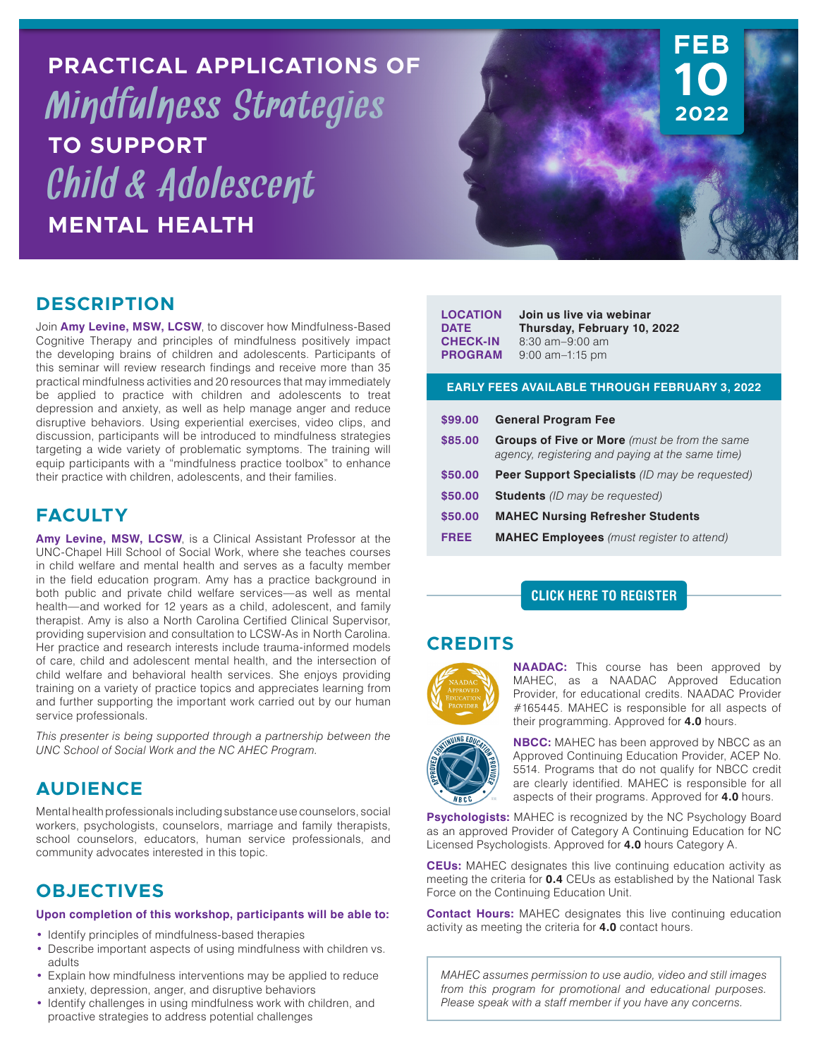**PRACTICAL APPLICATIONS OF** Mindfulness Strategies **TO SUPPORT** Child & Adolescent **MENTAL HEALTH**



### **DESCRIPTION**

Join **Amy Levine, MSW, LCSW**, to discover how Mindfulness-Based Cognitive Therapy and principles of mindfulness positively impact the developing brains of children and adolescents. Participants of this seminar will review research findings and receive more than 35 practical mindfulness activities and 20 resources that may immediately be applied to practice with children and adolescents to treat depression and anxiety, as well as help manage anger and reduce disruptive behaviors. Using experiential exercises, video clips, and discussion, participants will be introduced to mindfulness strategies targeting a wide variety of problematic symptoms. The training will equip participants with a "mindfulness practice toolbox" to enhance their practice with children, adolescents, and their families.

# **FACULTY**

**Amy Levine, MSW, LCSW**, is a Clinical Assistant Professor at the UNC-Chapel Hill School of Social Work, where she teaches courses in child welfare and mental health and serves as a faculty member in the field education program. Amy has a practice background in both public and private child welfare services—as well as mental health—and worked for 12 years as a child, adolescent, and family therapist. Amy is also a North Carolina Certified Clinical Supervisor, providing supervision and consultation to LCSW-As in North Carolina. Her practice and research interests include trauma-informed models of care, child and adolescent mental health, and the intersection of child welfare and behavioral health services. She enjoys providing training on a variety of practice topics and appreciates learning from and further supporting the important work carried out by our human service professionals.

*This presenter is being supported through a partnership between the UNC School of Social Work and the NC AHEC Program.*

# **AUDIENCE**

Mental health professionals including substance use counselors, social workers, psychologists, counselors, marriage and family therapists, school counselors, educators, human service professionals, and community advocates interested in this topic.

# **OBJECTIVES**

#### **Upon completion of this workshop, participants will be able to:**

- **•** Identify principles of mindfulness-based therapies
- **•** Describe important aspects of using mindfulness with children vs. adults
- **•** Explain how mindfulness interventions may be applied to reduce anxiety, depression, anger, and disruptive behaviors
- **•** Identify challenges in using mindfulness work with children, and proactive strategies to address potential challenges

| <b>LOCATION</b><br><b>DATF</b><br><b>CHECK-IN</b><br><b>PROGRAM</b> | Join us live via webinar<br>Thursday, February 10, 2022<br>$8:30$ am $-9:00$ am<br>$9:00$ am $-1:15$ pm  |  |  |
|---------------------------------------------------------------------|----------------------------------------------------------------------------------------------------------|--|--|
| <b>EARLY FEES AVAILABLE THROUGH FEBRUARY 3, 2022</b>                |                                                                                                          |  |  |
| \$99.00                                                             | <b>General Program Fee</b>                                                                               |  |  |
| \$85.00                                                             | <b>Groups of Five or More</b> (must be from the same<br>agency, registering and paying at the same time) |  |  |
| \$50.00                                                             | <b>Peer Support Specialists</b> (ID may be requested)                                                    |  |  |
| \$50.00                                                             | <b>Students</b> (ID may be requested)                                                                    |  |  |
| \$50.00                                                             | <b>MAHEC Nursing Refresher Students</b>                                                                  |  |  |
| <b>FREE</b>                                                         | <b>MAHEC Employees</b> (must register to attend)                                                         |  |  |

#### **[CLICK HERE TO REGISTER](https://mahec.net/event/66845)**

# **CREDITS**



**NAADAC:** This course has been approved by MAHEC, as a NAADAC Approved Education Provider, for educational credits. NAADAC Provider #165445. MAHEC is responsible for all aspects of their programming. Approved for **4.0** hours.



**NBCC:** MAHEC has been approved by NBCC as an Approved Continuing Education Provider, ACEP No. 5514. Programs that do not qualify for NBCC credit are clearly identified. MAHEC is responsible for all aspects of their programs. Approved for **4.0** hours.

**Psychologists:** MAHEC is recognized by the NC Psychology Board as an approved Provider of Category A Continuing Education for NC Licensed Psychologists. Approved for **4.0** hours Category A.

**CEUs:** MAHEC designates this live continuing education activity as meeting the criteria for **0.4** CEUs as established by the National Task Force on the Continuing Education Unit.

**Contact Hours:** MAHEC designates this live continuing education activity as meeting the criteria for **4.0** contact hours.

*MAHEC assumes permission to use audio, video and still images from this program for promotional and educational purposes. Please speak with a staff member if you have any concerns.*